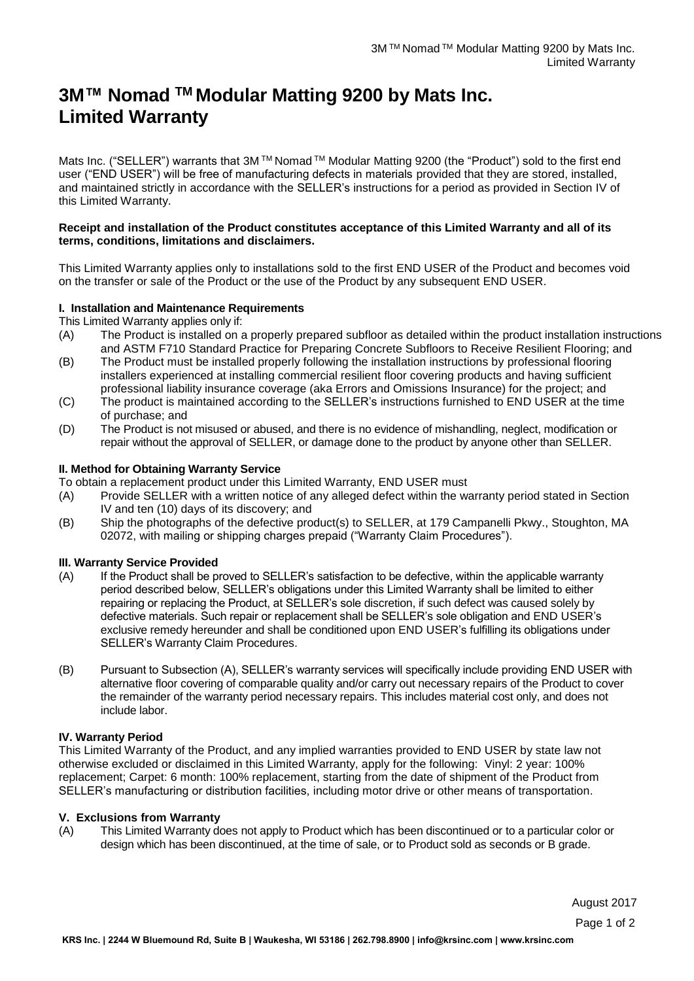# **3M™ Nomad TM Modular Matting 9200 by Mats Inc. Limited Warranty**

Mats Inc. ("SELLER") warrants that 3M ™ Nomad ™ Modular Matting 9200 (the "Product") sold to the first end user ("END USER") will be free of manufacturing defects in materials provided that they are stored, installed, and maintained strictly in accordance with the SELLER's instructions for a period as provided in Section IV of this Limited Warranty.

### **Receipt and installation of the Product constitutes acceptance of this Limited Warranty and all of its terms, conditions, limitations and disclaimers.**

This Limited Warranty applies only to installations sold to the first END USER of the Product and becomes void on the transfer or sale of the Product or the use of the Product by any subsequent END USER.

# **I. Installation and Maintenance Requirements**

This Limited Warranty applies only if:

- (A) The Product is installed on a properly prepared subfloor as detailed within the product installation instructions and ASTM F710 Standard Practice for Preparing Concrete Subfloors to Receive Resilient Flooring; and
- (B) The Product must be installed properly following the installation instructions by professional flooring installers experienced at installing commercial resilient floor covering products and having sufficient professional liability insurance coverage (aka Errors and Omissions Insurance) for the project; and
- (C) The product is maintained according to the SELLER's instructions furnished to END USER at the time of purchase; and
- (D) The Product is not misused or abused, and there is no evidence of mishandling, neglect, modification or repair without the approval of SELLER, or damage done to the product by anyone other than SELLER.

# **II. Method for Obtaining Warranty Service**

To obtain a replacement product under this Limited Warranty, END USER must

- (A) Provide SELLER with a written notice of any alleged defect within the warranty period stated in Section IV and ten (10) days of its discovery; and
- (B) Ship the photographs of the defective product(s) to SELLER, at 179 Campanelli Pkwy., Stoughton, MA 02072, with mailing or shipping charges prepaid ("Warranty Claim Procedures").

# **III. Warranty Service Provided**

- (A) If the Product shall be proved to SELLER's satisfaction to be defective, within the applicable warranty period described below, SELLER's obligations under this Limited Warranty shall be limited to either repairing or replacing the Product, at SELLER's sole discretion, if such defect was caused solely by defective materials. Such repair or replacement shall be SELLER's sole obligation and END USER's exclusive remedy hereunder and shall be conditioned upon END USER's fulfilling its obligations under SELLER's Warranty Claim Procedures.
- (B) Pursuant to Subsection (A), SELLER's warranty services will specifically include providing END USER with alternative floor covering of comparable quality and/or carry out necessary repairs of the Product to cover the remainder of the warranty period necessary repairs. This includes material cost only, and does not include labor.

# **IV. Warranty Period**

This Limited Warranty of the Product, and any implied warranties provided to END USER by state law not otherwise excluded or disclaimed in this Limited Warranty, apply for the following: Vinyl: 2 year: 100% replacement; Carpet: 6 month: 100% replacement, starting from the date of shipment of the Product from SELLER's manufacturing or distribution facilities, including motor drive or other means of transportation.

#### **V. Exclusions from Warranty**

(A) This Limited Warranty does not apply to Product which has been discontinued or to a particular color or design which has been discontinued, at the time of sale, or to Product sold as seconds or B grade.

August 2017

Page 1 of 2